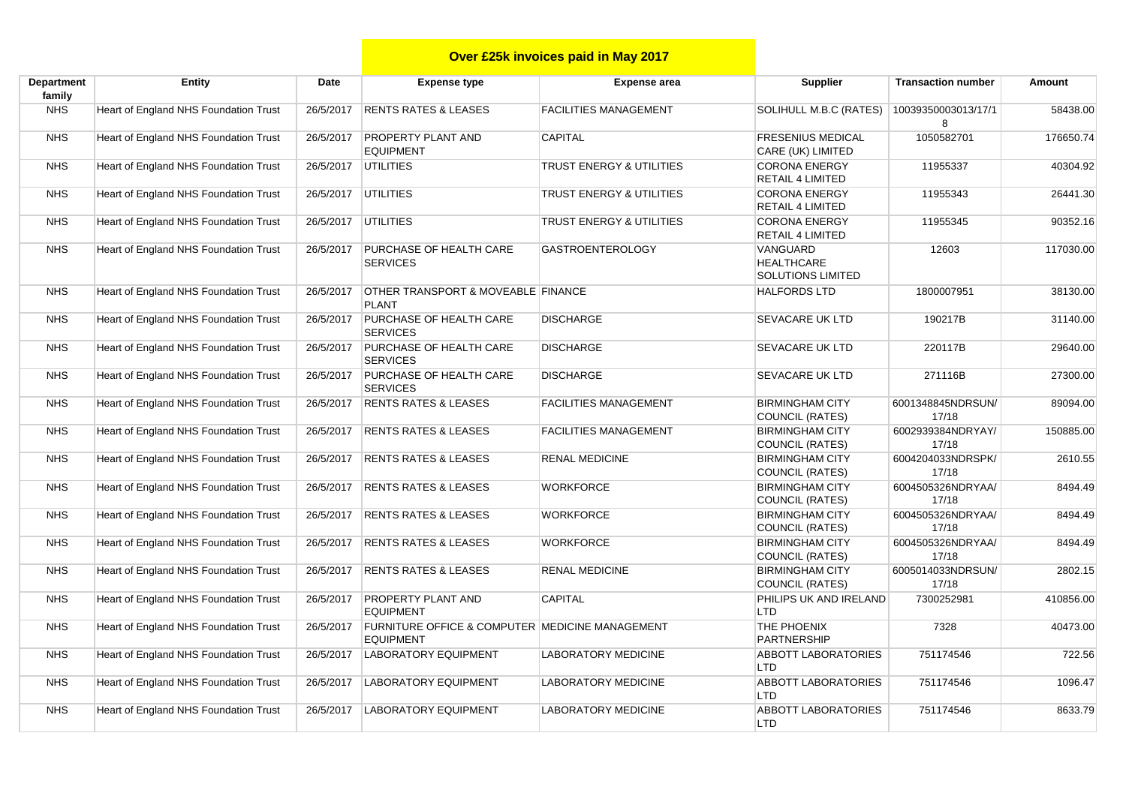## **Over £25k invoices paid in May 2017**

| Department<br>family | Entity                                | Date      | <b>Expense type</b>                                                            | <b>Expense area</b>                 | <b>Supplier</b>                                           | <b>Transaction number</b>  | Amount    |
|----------------------|---------------------------------------|-----------|--------------------------------------------------------------------------------|-------------------------------------|-----------------------------------------------------------|----------------------------|-----------|
| <b>NHS</b>           | Heart of England NHS Foundation Trust | 26/5/2017 | <b>RENTS RATES &amp; LEASES</b>                                                | <b>FACILITIES MANAGEMENT</b>        | SOLIHULL M.B.C (RATES)                                    | 10039350003013/17/1<br>8   | 58438.00  |
| <b>NHS</b>           | Heart of England NHS Foundation Trust | 26/5/2017 | <b>PROPERTY PLANT AND</b><br><b>EQUIPMENT</b>                                  | <b>CAPITAL</b>                      | <b>FRESENIUS MEDICAL</b><br>CARE (UK) LIMITED             | 1050582701                 | 176650.74 |
| <b>NHS</b>           | Heart of England NHS Foundation Trust | 26/5/2017 | <b>UTILITIES</b>                                                               | <b>TRUST ENERGY &amp; UTILITIES</b> | <b>CORONA ENERGY</b><br><b>RETAIL 4 LIMITED</b>           | 11955337                   | 40304.92  |
| <b>NHS</b>           | Heart of England NHS Foundation Trust | 26/5/2017 | <b>UTILITIES</b>                                                               | <b>TRUST ENERGY &amp; UTILITIES</b> | <b>CORONA ENERGY</b><br><b>RETAIL 4 LIMITED</b>           | 11955343                   | 26441.30  |
| <b>NHS</b>           | Heart of England NHS Foundation Trust | 26/5/2017 | <b>UTILITIES</b>                                                               | <b>TRUST ENERGY &amp; UTILITIES</b> | <b>CORONA ENERGY</b><br><b>RETAIL 4 LIMITED</b>           | 11955345                   | 90352.16  |
| <b>NHS</b>           | Heart of England NHS Foundation Trust | 26/5/2017 | PURCHASE OF HEALTH CARE<br><b>SERVICES</b>                                     | <b>GASTROENTEROLOGY</b>             | VANGUARD<br><b>HEALTHCARE</b><br><b>SOLUTIONS LIMITED</b> | 12603                      | 117030.00 |
| <b>NHS</b>           | Heart of England NHS Foundation Trust | 26/5/2017 | OTHER TRANSPORT & MOVEABLE FINANCE<br><b>PLANT</b>                             |                                     | <b>HALFORDS LTD</b>                                       | 1800007951                 | 38130.00  |
| <b>NHS</b>           | Heart of England NHS Foundation Trust | 26/5/2017 | PURCHASE OF HEALTH CARE<br><b>SERVICES</b>                                     | <b>DISCHARGE</b>                    | <b>SEVACARE UK LTD</b>                                    | 190217B                    | 31140.00  |
| <b>NHS</b>           | Heart of England NHS Foundation Trust | 26/5/2017 | PURCHASE OF HEALTH CARE<br><b>SERVICES</b>                                     | <b>DISCHARGE</b>                    | <b>SEVACARE UK LTD</b>                                    | 220117B                    | 29640.00  |
| <b>NHS</b>           | Heart of England NHS Foundation Trust | 26/5/2017 | PURCHASE OF HEALTH CARE<br><b>SERVICES</b>                                     | <b>DISCHARGE</b>                    | <b>SEVACARE UK LTD</b>                                    | 271116B                    | 27300.00  |
| <b>NHS</b>           | Heart of England NHS Foundation Trust | 26/5/2017 | <b>RENTS RATES &amp; LEASES</b>                                                | <b>FACILITIES MANAGEMENT</b>        | <b>BIRMINGHAM CITY</b><br>COUNCIL (RATES)                 | 6001348845NDRSUN/<br>17/18 | 89094.00  |
| <b>NHS</b>           | Heart of England NHS Foundation Trust | 26/5/2017 | <b>RENTS RATES &amp; LEASES</b>                                                | <b>FACILITIES MANAGEMENT</b>        | <b>BIRMINGHAM CITY</b><br><b>COUNCIL (RATES)</b>          | 6002939384NDRYAY/<br>17/18 | 150885.00 |
| <b>NHS</b>           | Heart of England NHS Foundation Trust | 26/5/2017 | <b>RENTS RATES &amp; LEASES</b>                                                | <b>RENAL MEDICINE</b>               | <b>BIRMINGHAM CITY</b><br>COUNCIL (RATES)                 | 6004204033NDRSPK/<br>17/18 | 2610.55   |
| <b>NHS</b>           | Heart of England NHS Foundation Trust | 26/5/2017 | <b>RENTS RATES &amp; LEASES</b>                                                | <b>WORKFORCE</b>                    | <b>BIRMINGHAM CITY</b><br>COUNCIL (RATES)                 | 6004505326NDRYAA/<br>17/18 | 8494.49   |
| <b>NHS</b>           | Heart of England NHS Foundation Trust | 26/5/2017 | <b>RENTS RATES &amp; LEASES</b>                                                | <b>WORKFORCE</b>                    | <b>BIRMINGHAM CITY</b><br>COUNCIL (RATES)                 | 6004505326NDRYAA/<br>17/18 | 8494.49   |
| <b>NHS</b>           | Heart of England NHS Foundation Trust | 26/5/2017 | <b>RENTS RATES &amp; LEASES</b>                                                | <b>WORKFORCE</b>                    | <b>BIRMINGHAM CITY</b><br>COUNCIL (RATES)                 | 6004505326NDRYAA/<br>17/18 | 8494.49   |
| <b>NHS</b>           | Heart of England NHS Foundation Trust | 26/5/2017 | <b>RENTS RATES &amp; LEASES</b>                                                | <b>RENAL MEDICINE</b>               | <b>BIRMINGHAM CITY</b><br><b>COUNCIL (RATES)</b>          | 6005014033NDRSUN/<br>17/18 | 2802.15   |
| <b>NHS</b>           | Heart of England NHS Foundation Trust | 26/5/2017 | <b>PROPERTY PLANT AND</b><br><b>EQUIPMENT</b>                                  | <b>CAPITAL</b>                      | PHILIPS UK AND IRELAND<br><b>LTD</b>                      | 7300252981                 | 410856.00 |
| <b>NHS</b>           | Heart of England NHS Foundation Trust | 26/5/2017 | <b>FURNITURE OFFICE &amp; COMPUTER MEDICINE MANAGEMENT</b><br><b>EQUIPMENT</b> |                                     | THE PHOENIX<br>PARTNERSHIP                                | 7328                       | 40473.00  |
| <b>NHS</b>           | Heart of England NHS Foundation Trust | 26/5/2017 | <b>LABORATORY EQUIPMENT</b>                                                    | <b>LABORATORY MEDICINE</b>          | <b>ABBOTT LABORATORIES</b><br><b>LTD</b>                  | 751174546                  | 722.56    |
| <b>NHS</b>           | Heart of England NHS Foundation Trust | 26/5/2017 | <b>LABORATORY EQUIPMENT</b>                                                    | <b>LABORATORY MEDICINE</b>          | <b>ABBOTT LABORATORIES</b><br><b>LTD</b>                  | 751174546                  | 1096.47   |
| <b>NHS</b>           | Heart of England NHS Foundation Trust | 26/5/2017 | <b>LABORATORY EQUIPMENT</b>                                                    | <b>LABORATORY MEDICINE</b>          | <b>ABBOTT LABORATORIES</b><br>LTD <sub></sub>             | 751174546                  | 8633.79   |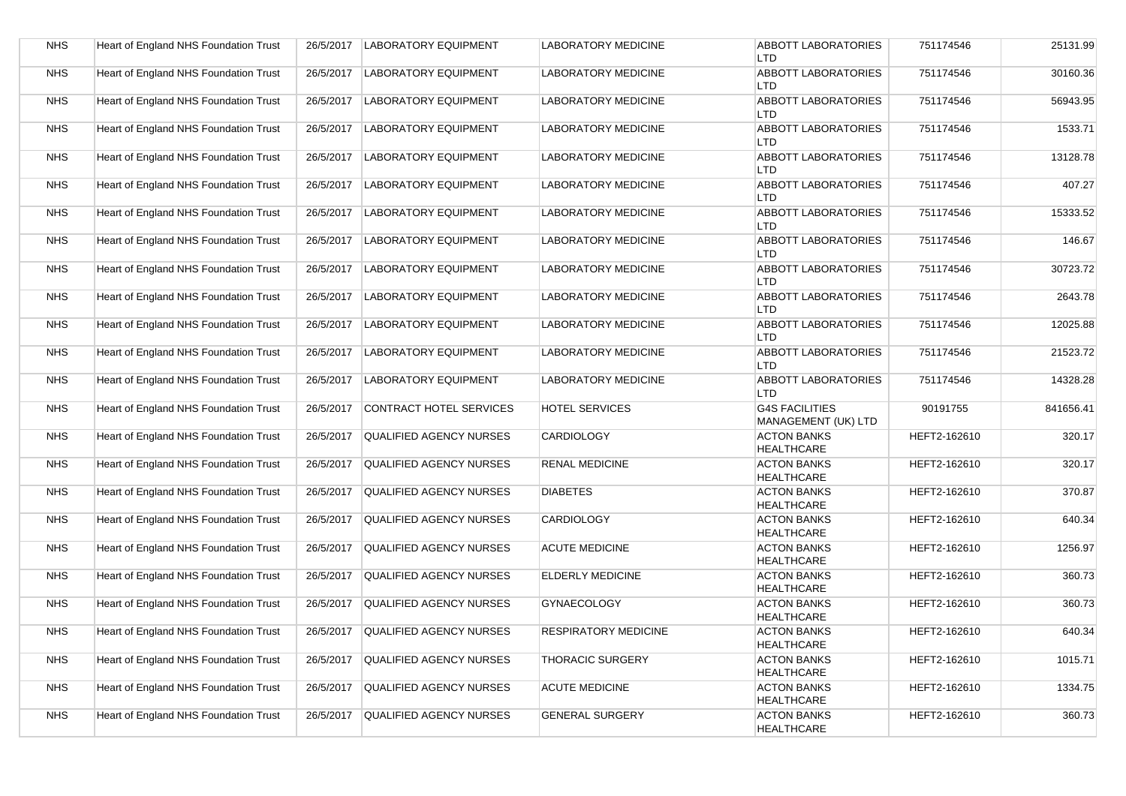| <b>NHS</b> | Heart of England NHS Foundation Trust | 26/5/2017 | <b>LABORATORY EQUIPMENT</b>    | <b>LABORATORY MEDICINE</b>  | <b>ABBOTT LABORATORIES</b><br>LTD            | 751174546    | 25131.99  |
|------------|---------------------------------------|-----------|--------------------------------|-----------------------------|----------------------------------------------|--------------|-----------|
| <b>NHS</b> | Heart of England NHS Foundation Trust | 26/5/2017 | <b>LABORATORY EQUIPMENT</b>    | <b>LABORATORY MEDICINE</b>  | <b>ABBOTT LABORATORIES</b><br>LTD            | 751174546    | 30160.36  |
| <b>NHS</b> | Heart of England NHS Foundation Trust | 26/5/2017 | <b>LABORATORY EQUIPMENT</b>    | <b>LABORATORY MEDICINE</b>  | <b>ABBOTT LABORATORIES</b><br><b>LTD</b>     | 751174546    | 56943.95  |
| <b>NHS</b> | Heart of England NHS Foundation Trust | 26/5/2017 | <b>LABORATORY EQUIPMENT</b>    | <b>LABORATORY MEDICINE</b>  | <b>ABBOTT LABORATORIES</b><br><b>LTD</b>     | 751174546    | 1533.71   |
| <b>NHS</b> | Heart of England NHS Foundation Trust | 26/5/2017 | <b>LABORATORY EQUIPMENT</b>    | <b>LABORATORY MEDICINE</b>  | <b>ABBOTT LABORATORIES</b><br><b>LTD</b>     | 751174546    | 13128.78  |
| <b>NHS</b> | Heart of England NHS Foundation Trust | 26/5/2017 | <b>LABORATORY EQUIPMENT</b>    | <b>LABORATORY MEDICINE</b>  | <b>ABBOTT LABORATORIES</b><br>LTD            | 751174546    | 407.27    |
| <b>NHS</b> | Heart of England NHS Foundation Trust | 26/5/2017 | <b>LABORATORY EQUIPMENT</b>    | LABORATORY MEDICINE         | <b>ABBOTT LABORATORIES</b><br><b>LTD</b>     | 751174546    | 15333.52  |
| <b>NHS</b> | Heart of England NHS Foundation Trust | 26/5/2017 | <b>LABORATORY EQUIPMENT</b>    | LABORATORY MEDICINE         | <b>ABBOTT LABORATORIES</b><br>LTD            | 751174546    | 146.67    |
| <b>NHS</b> | Heart of England NHS Foundation Trust | 26/5/2017 | <b>LABORATORY EQUIPMENT</b>    | LABORATORY MEDICINE         | <b>ABBOTT LABORATORIES</b><br>LTD            | 751174546    | 30723.72  |
| <b>NHS</b> | Heart of England NHS Foundation Trust | 26/5/2017 | <b>LABORATORY EQUIPMENT</b>    | LABORATORY MEDICINE         | <b>ABBOTT LABORATORIES</b><br>LTD            | 751174546    | 2643.78   |
| <b>NHS</b> | Heart of England NHS Foundation Trust | 26/5/2017 | <b>LABORATORY EQUIPMENT</b>    | LABORATORY MEDICINE         | <b>ABBOTT LABORATORIES</b><br>LTD            | 751174546    | 12025.88  |
| <b>NHS</b> | Heart of England NHS Foundation Trust | 26/5/2017 | <b>LABORATORY EQUIPMENT</b>    | LABORATORY MEDICINE         | <b>ABBOTT LABORATORIES</b><br><b>LTD</b>     | 751174546    | 21523.72  |
| <b>NHS</b> | Heart of England NHS Foundation Trust | 26/5/2017 | <b>LABORATORY EQUIPMENT</b>    | <b>LABORATORY MEDICINE</b>  | <b>ABBOTT LABORATORIES</b><br><b>LTD</b>     | 751174546    | 14328.28  |
| <b>NHS</b> | Heart of England NHS Foundation Trust | 26/5/2017 | CONTRACT HOTEL SERVICES        | <b>HOTEL SERVICES</b>       | <b>G4S FACILITIES</b><br>MANAGEMENT (UK) LTD | 90191755     | 841656.41 |
| <b>NHS</b> | Heart of England NHS Foundation Trust | 26/5/2017 | <b>QUALIFIED AGENCY NURSES</b> | <b>CARDIOLOGY</b>           | <b>ACTON BANKS</b><br><b>HEALTHCARE</b>      | HEFT2-162610 | 320.17    |
| <b>NHS</b> | Heart of England NHS Foundation Trust | 26/5/2017 | <b>QUALIFIED AGENCY NURSES</b> | <b>RENAL MEDICINE</b>       | <b>ACTON BANKS</b><br><b>HEALTHCARE</b>      | HEFT2-162610 | 320.17    |
| <b>NHS</b> | Heart of England NHS Foundation Trust | 26/5/2017 | <b>QUALIFIED AGENCY NURSES</b> | <b>DIABETES</b>             | <b>ACTON BANKS</b><br><b>HEALTHCARE</b>      | HEFT2-162610 | 370.87    |
| <b>NHS</b> | Heart of England NHS Foundation Trust | 26/5/2017 | <b>QUALIFIED AGENCY NURSES</b> | CARDIOLOGY                  | <b>ACTON BANKS</b><br><b>HEALTHCARE</b>      | HEFT2-162610 | 640.34    |
| <b>NHS</b> | Heart of England NHS Foundation Trust | 26/5/2017 | <b>QUALIFIED AGENCY NURSES</b> | <b>ACUTE MEDICINE</b>       | <b>ACTON BANKS</b><br><b>HEALTHCARE</b>      | HEFT2-162610 | 1256.97   |
| <b>NHS</b> | Heart of England NHS Foundation Trust | 26/5/2017 | QUALIFIED AGENCY NURSES        | <b>ELDERLY MEDICINE</b>     | <b>ACTON BANKS</b><br><b>HEALTHCARE</b>      | HEFT2-162610 | 360.73    |
| <b>NHS</b> | Heart of England NHS Foundation Trust | 26/5/2017 | <b>QUALIFIED AGENCY NURSES</b> | <b>GYNAECOLOGY</b>          | <b>ACTON BANKS</b><br><b>HEALTHCARE</b>      | HEFT2-162610 | 360.73    |
| <b>NHS</b> | Heart of England NHS Foundation Trust | 26/5/2017 | <b>QUALIFIED AGENCY NURSES</b> | <b>RESPIRATORY MEDICINE</b> | <b>ACTON BANKS</b><br><b>HEALTHCARE</b>      | HEFT2-162610 | 640.34    |
| <b>NHS</b> | Heart of England NHS Foundation Trust | 26/5/2017 | QUALIFIED AGENCY NURSES        | <b>THORACIC SURGERY</b>     | <b>ACTON BANKS</b><br><b>HEALTHCARE</b>      | HEFT2-162610 | 1015.71   |
| <b>NHS</b> | Heart of England NHS Foundation Trust | 26/5/2017 | QUALIFIED AGENCY NURSES        | <b>ACUTE MEDICINE</b>       | <b>ACTON BANKS</b><br><b>HEALTHCARE</b>      | HEFT2-162610 | 1334.75   |
| <b>NHS</b> | Heart of England NHS Foundation Trust | 26/5/2017 | <b>QUALIFIED AGENCY NURSES</b> | <b>GENERAL SURGERY</b>      | <b>ACTON BANKS</b><br><b>HEALTHCARE</b>      | HEFT2-162610 | 360.73    |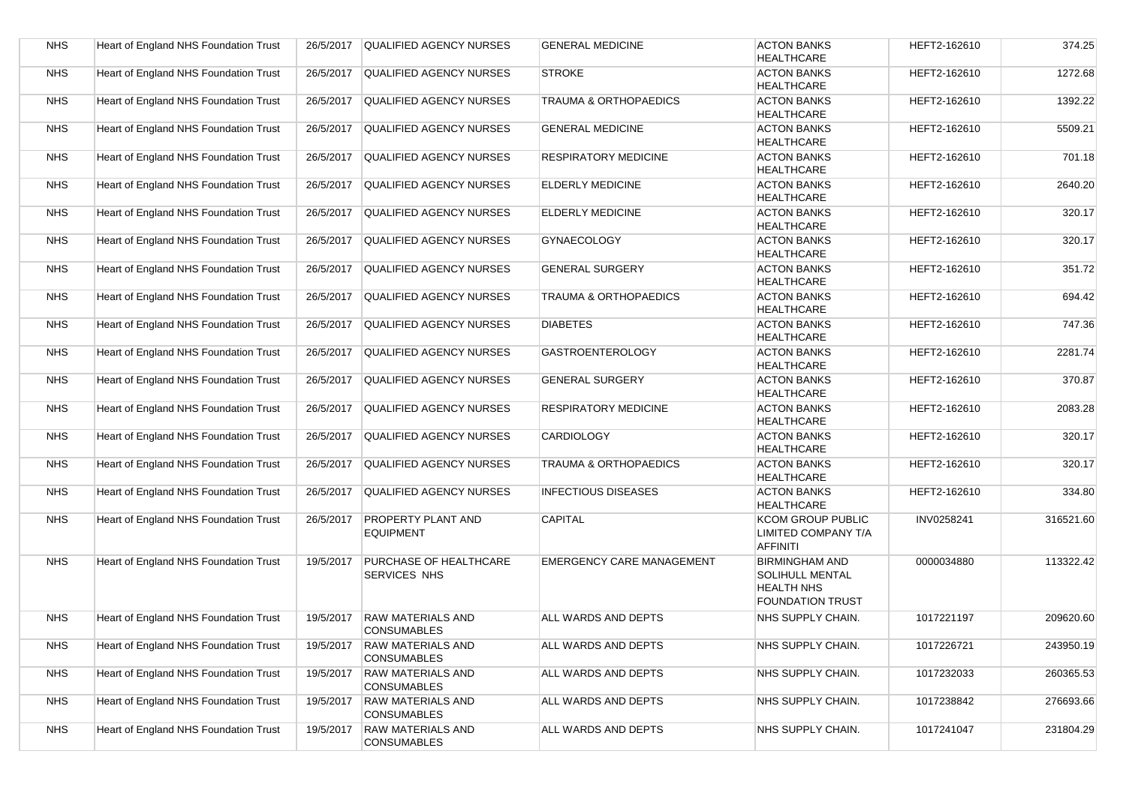| <b>NHS</b> | Heart of England NHS Foundation Trust        | 26/5/2017 | <b>QUALIFIED AGENCY NURSES</b>                 | <b>GENERAL MEDICINE</b>          | <b>ACTON BANKS</b><br><b>HEALTHCARE</b>                                                  | HEFT2-162610 | 374.25    |
|------------|----------------------------------------------|-----------|------------------------------------------------|----------------------------------|------------------------------------------------------------------------------------------|--------------|-----------|
| <b>NHS</b> | Heart of England NHS Foundation Trust        | 26/5/2017 | <b>QUALIFIED AGENCY NURSES</b>                 | <b>STROKE</b>                    | <b>ACTON BANKS</b><br><b>HEALTHCARE</b>                                                  | HEFT2-162610 | 1272.68   |
| <b>NHS</b> | Heart of England NHS Foundation Trust        | 26/5/2017 | <b>QUALIFIED AGENCY NURSES</b>                 | <b>TRAUMA &amp; ORTHOPAEDICS</b> | <b>ACTON BANKS</b><br><b>HEALTHCARE</b>                                                  | HEFT2-162610 | 1392.22   |
| <b>NHS</b> | <b>Heart of England NHS Foundation Trust</b> | 26/5/2017 | <b>QUALIFIED AGENCY NURSES</b>                 | <b>GENERAL MEDICINE</b>          | <b>ACTON BANKS</b><br><b>HEALTHCARE</b>                                                  | HEFT2-162610 | 5509.21   |
| <b>NHS</b> | Heart of England NHS Foundation Trust        | 26/5/2017 | QUALIFIED AGENCY NURSES                        | <b>RESPIRATORY MEDICINE</b>      | <b>ACTON BANKS</b><br><b>HEALTHCARE</b>                                                  | HEFT2-162610 | 701.18    |
| <b>NHS</b> | <b>Heart of England NHS Foundation Trust</b> | 26/5/2017 | <b>QUALIFIED AGENCY NURSES</b>                 | <b>ELDERLY MEDICINE</b>          | <b>ACTON BANKS</b><br><b>HEALTHCARE</b>                                                  | HEFT2-162610 | 2640.20   |
| <b>NHS</b> | <b>Heart of England NHS Foundation Trust</b> | 26/5/2017 | <b>QUALIFIED AGENCY NURSES</b>                 | <b>ELDERLY MEDICINE</b>          | <b>ACTON BANKS</b><br><b>HEALTHCARE</b>                                                  | HEFT2-162610 | 320.17    |
| <b>NHS</b> | Heart of England NHS Foundation Trust        | 26/5/2017 | <b>QUALIFIED AGENCY NURSES</b>                 | <b>GYNAECOLOGY</b>               | <b>ACTON BANKS</b><br><b>HEALTHCARE</b>                                                  | HEFT2-162610 | 320.17    |
| <b>NHS</b> | Heart of England NHS Foundation Trust        | 26/5/2017 | QUALIFIED AGENCY NURSES                        | <b>GENERAL SURGERY</b>           | <b>ACTON BANKS</b>                                                                       | HEFT2-162610 | 351.72    |
|            |                                              |           |                                                |                                  | <b>HEALTHCARE</b>                                                                        |              |           |
| <b>NHS</b> | Heart of England NHS Foundation Trust        | 26/5/2017 | <b>QUALIFIED AGENCY NURSES</b>                 | <b>TRAUMA &amp; ORTHOPAEDICS</b> | <b>ACTON BANKS</b><br><b>HEALTHCARE</b>                                                  | HEFT2-162610 | 694.42    |
| <b>NHS</b> | Heart of England NHS Foundation Trust        | 26/5/2017 | <b>QUALIFIED AGENCY NURSES</b>                 | <b>DIABETES</b>                  | <b>ACTON BANKS</b><br><b>HEALTHCARE</b>                                                  | HEFT2-162610 | 747.36    |
| <b>NHS</b> | <b>Heart of England NHS Foundation Trust</b> | 26/5/2017 | <b>QUALIFIED AGENCY NURSES</b>                 | <b>GASTROENTEROLOGY</b>          | <b>ACTON BANKS</b><br><b>HEALTHCARE</b>                                                  | HEFT2-162610 | 2281.74   |
| <b>NHS</b> | Heart of England NHS Foundation Trust        | 26/5/2017 | QUALIFIED AGENCY NURSES                        | <b>GENERAL SURGERY</b>           | <b>ACTON BANKS</b><br><b>HEALTHCARE</b>                                                  | HEFT2-162610 | 370.87    |
| <b>NHS</b> | Heart of England NHS Foundation Trust        | 26/5/2017 | QUALIFIED AGENCY NURSES                        | <b>RESPIRATORY MEDICINE</b>      | <b>ACTON BANKS</b><br><b>HEALTHCARE</b>                                                  | HEFT2-162610 | 2083.28   |
| <b>NHS</b> | Heart of England NHS Foundation Trust        | 26/5/2017 | QUALIFIED AGENCY NURSES                        | <b>CARDIOLOGY</b>                | <b>ACTON BANKS</b><br><b>HEALTHCARE</b>                                                  | HEFT2-162610 | 320.17    |
| <b>NHS</b> | Heart of England NHS Foundation Trust        | 26/5/2017 | QUALIFIED AGENCY NURSES                        | TRAUMA & ORTHOPAEDICS            | <b>ACTON BANKS</b><br><b>HEALTHCARE</b>                                                  | HEFT2-162610 | 320.17    |
| <b>NHS</b> | Heart of England NHS Foundation Trust        | 26/5/2017 | QUALIFIED AGENCY NURSES                        | <b>INFECTIOUS DISEASES</b>       | <b>ACTON BANKS</b><br><b>HEALTHCARE</b>                                                  | HEFT2-162610 | 334.80    |
| <b>NHS</b> | Heart of England NHS Foundation Trust        | 26/5/2017 | <b>PROPERTY PLANT AND</b><br><b>EQUIPMENT</b>  | <b>CAPITAL</b>                   | KCOM GROUP PUBLIC<br>LIMITED COMPANY T/A<br><b>AFFINITI</b>                              | INV0258241   | 316521.60 |
| <b>NHS</b> | Heart of England NHS Foundation Trust        | 19/5/2017 | PURCHASE OF HEALTHCARE<br><b>SERVICES NHS</b>  | <b>EMERGENCY CARE MANAGEMENT</b> | <b>BIRMINGHAM AND</b><br>SOLIHULL MENTAL<br><b>HEALTH NHS</b><br><b>FOUNDATION TRUST</b> | 0000034880   | 113322.42 |
| <b>NHS</b> | Heart of England NHS Foundation Trust        | 19/5/2017 | <b>RAW MATERIALS AND</b><br><b>CONSUMABLES</b> | ALL WARDS AND DEPTS              | NHS SUPPLY CHAIN.                                                                        | 1017221197   | 209620.60 |
| <b>NHS</b> | Heart of England NHS Foundation Trust        | 19/5/2017 | <b>RAW MATERIALS AND</b><br><b>CONSUMABLES</b> | ALL WARDS AND DEPTS              | NHS SUPPLY CHAIN.                                                                        | 1017226721   | 243950.19 |
| <b>NHS</b> | Heart of England NHS Foundation Trust        | 19/5/2017 | <b>RAW MATERIALS AND</b><br><b>CONSUMABLES</b> | ALL WARDS AND DEPTS              | NHS SUPPLY CHAIN.                                                                        | 1017232033   | 260365.53 |
| <b>NHS</b> | Heart of England NHS Foundation Trust        | 19/5/2017 | <b>RAW MATERIALS AND</b><br><b>CONSUMABLES</b> | ALL WARDS AND DEPTS              | NHS SUPPLY CHAIN.                                                                        | 1017238842   | 276693.66 |
| <b>NHS</b> | Heart of England NHS Foundation Trust        | 19/5/2017 | <b>RAW MATERIALS AND</b><br><b>CONSUMABLES</b> | ALL WARDS AND DEPTS              | NHS SUPPLY CHAIN.                                                                        | 1017241047   | 231804.29 |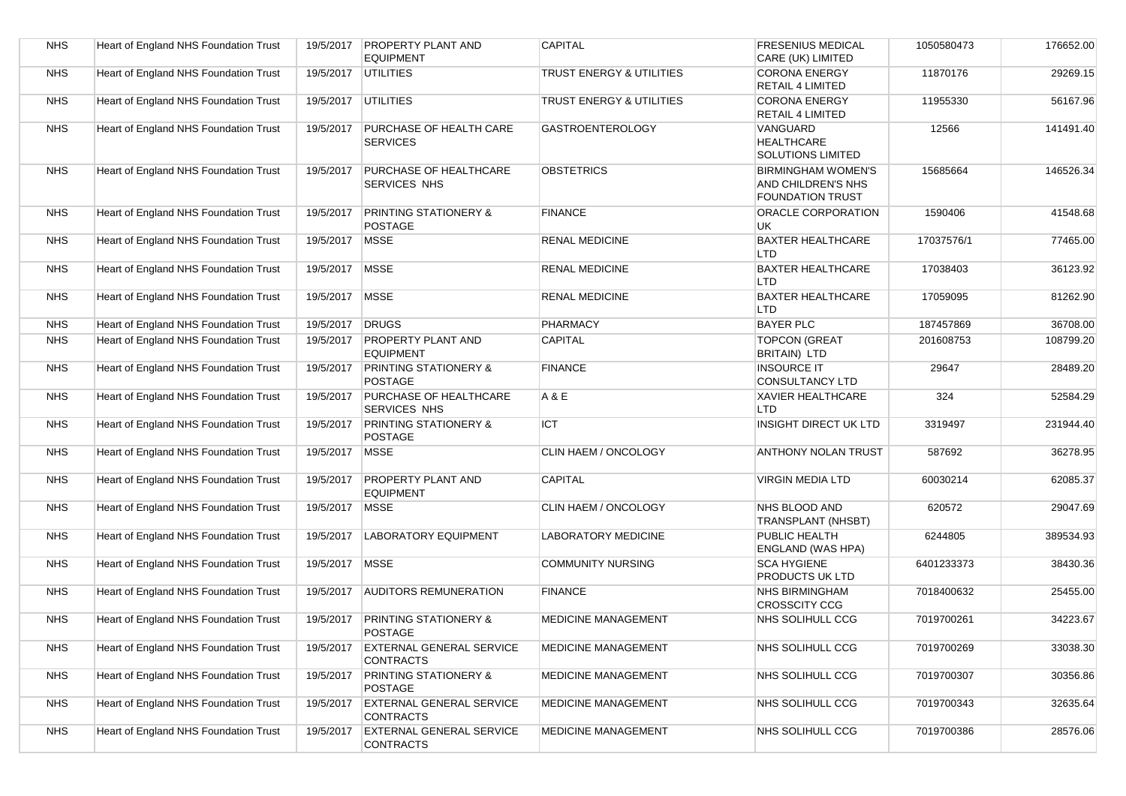| <b>NHS</b> | Heart of England NHS Foundation Trust | 19/5/2017 | <b>PROPERTY PLANT AND</b><br><b>EQUIPMENT</b>        | <b>CAPITAL</b>             | <b>FRESENIUS MEDICAL</b><br>CARE (UK) LIMITED                       | 1050580473 | 176652.00 |
|------------|---------------------------------------|-----------|------------------------------------------------------|----------------------------|---------------------------------------------------------------------|------------|-----------|
| <b>NHS</b> | Heart of England NHS Foundation Trust | 19/5/2017 | <b>UTILITIES</b>                                     | TRUST ENERGY & UTILITIES   | <b>CORONA ENERGY</b><br><b>RETAIL 4 LIMITED</b>                     | 11870176   | 29269.15  |
| <b>NHS</b> | Heart of England NHS Foundation Trust | 19/5/2017 | <b>UTILITIES</b>                                     | TRUST ENERGY & UTILITIES   | <b>CORONA ENERGY</b><br><b>RETAIL 4 LIMITED</b>                     | 11955330   | 56167.96  |
| <b>NHS</b> | Heart of England NHS Foundation Trust | 19/5/2017 | <b>PURCHASE OF HEALTH CARE</b><br><b>SERVICES</b>    | <b>GASTROENTEROLOGY</b>    | VANGUARD<br><b>HEALTHCARE</b><br>SOLUTIONS LIMITED                  | 12566      | 141491.40 |
| <b>NHS</b> | Heart of England NHS Foundation Trust | 19/5/2017 | PURCHASE OF HEALTHCARE<br><b>SERVICES NHS</b>        | <b>OBSTETRICS</b>          | <b>BIRMINGHAM WOMEN'S</b><br>AND CHILDREN'S NHS<br>FOUNDATION TRUST | 15685664   | 146526.34 |
| <b>NHS</b> | Heart of England NHS Foundation Trust | 19/5/2017 | <b>PRINTING STATIONERY &amp;</b><br>POSTAGE          | <b>FINANCE</b>             | ORACLE CORPORATION<br>UK                                            | 1590406    | 41548.68  |
| <b>NHS</b> | Heart of England NHS Foundation Trust | 19/5/2017 | <b>MSSE</b>                                          | <b>RENAL MEDICINE</b>      | <b>BAXTER HEALTHCARE</b><br><b>LTD</b>                              | 17037576/1 | 77465.00  |
| <b>NHS</b> | Heart of England NHS Foundation Trust | 19/5/2017 | <b>MSSE</b>                                          | <b>RENAL MEDICINE</b>      | <b>BAXTER HEALTHCARE</b><br>LTD                                     | 17038403   | 36123.92  |
| <b>NHS</b> | Heart of England NHS Foundation Trust | 19/5/2017 | <b>MSSE</b>                                          | <b>RENAL MEDICINE</b>      | <b>BAXTER HEALTHCARE</b><br><b>LTD</b>                              | 17059095   | 81262.90  |
| <b>NHS</b> | Heart of England NHS Foundation Trust | 19/5/2017 | <b>DRUGS</b>                                         | PHARMACY                   | <b>BAYER PLC</b>                                                    | 187457869  | 36708.00  |
| <b>NHS</b> | Heart of England NHS Foundation Trust | 19/5/2017 | <b>PROPERTY PLANT AND</b><br><b>EQUIPMENT</b>        | <b>CAPITAL</b>             | <b>TOPCON (GREAT</b><br><b>BRITAIN) LTD</b>                         | 201608753  | 108799.20 |
| <b>NHS</b> | Heart of England NHS Foundation Trust | 19/5/2017 | <b>PRINTING STATIONERY &amp;</b><br><b>POSTAGE</b>   | <b>FINANCE</b>             | <b>INSOURCE IT</b><br><b>CONSULTANCY LTD</b>                        | 29647      | 28489.20  |
| <b>NHS</b> | Heart of England NHS Foundation Trust | 19/5/2017 | <b>PURCHASE OF HEALTHCARE</b><br><b>SERVICES NHS</b> | A & E                      | <b>XAVIER HEALTHCARE</b><br>LTD                                     | 324        | 52584.29  |
| <b>NHS</b> | Heart of England NHS Foundation Trust | 19/5/2017 | <b>PRINTING STATIONERY &amp;</b><br>POSTAGE          | <b>ICT</b>                 | <b>INSIGHT DIRECT UK LTD</b>                                        | 3319497    | 231944.40 |
| <b>NHS</b> | Heart of England NHS Foundation Trust | 19/5/2017 | MSSE                                                 | CLIN HAEM / ONCOLOGY       | <b>ANTHONY NOLAN TRUST</b>                                          | 587692     | 36278.95  |
| <b>NHS</b> | Heart of England NHS Foundation Trust | 19/5/2017 | <b>PROPERTY PLANT AND</b><br><b>EQUIPMENT</b>        | CAPITAL                    | <b>VIRGIN MEDIA LTD</b>                                             | 60030214   | 62085.37  |
| <b>NHS</b> | Heart of England NHS Foundation Trust | 19/5/2017 | <b>MSSE</b>                                          | CLIN HAEM / ONCOLOGY       | NHS BLOOD AND<br>TRANSPLANT (NHSBT)                                 | 620572     | 29047.69  |
| <b>NHS</b> | Heart of England NHS Foundation Trust | 19/5/2017 | <b>LABORATORY EQUIPMENT</b>                          | LABORATORY MEDICINE        | PUBLIC HEALTH<br><b>ENGLAND (WAS HPA)</b>                           | 6244805    | 389534.93 |
| <b>NHS</b> | Heart of England NHS Foundation Trust | 19/5/2017 | MSSE                                                 | <b>COMMUNITY NURSING</b>   | <b>SCA HYGIENE</b><br><b>PRODUCTS UK LTD</b>                        | 6401233373 | 38430.36  |
| <b>NHS</b> | Heart of England NHS Foundation Trust | 19/5/2017 | <b>AUDITORS REMUNERATION</b>                         | <b>FINANCE</b>             | <b>NHS BIRMINGHAM</b><br><b>CROSSCITY CCG</b>                       | 7018400632 | 25455.00  |
| <b>NHS</b> | Heart of England NHS Foundation Trust | 19/5/2017 | <b>PRINTING STATIONERY &amp;</b><br><b>POSTAGE</b>   | <b>MEDICINE MANAGEMENT</b> | NHS SOLIHULL CCG                                                    | 7019700261 | 34223.67  |
| <b>NHS</b> | Heart of England NHS Foundation Trust | 19/5/2017 | <b>EXTERNAL GENERAL SERVICE</b><br><b>CONTRACTS</b>  | <b>MEDICINE MANAGEMENT</b> | NHS SOLIHULL CCG                                                    | 7019700269 | 33038.30  |
| <b>NHS</b> | Heart of England NHS Foundation Trust | 19/5/2017 | <b>PRINTING STATIONERY &amp;</b><br><b>POSTAGE</b>   | MEDICINE MANAGEMENT        | NHS SOLIHULL CCG                                                    | 7019700307 | 30356.86  |
| <b>NHS</b> | Heart of England NHS Foundation Trust | 19/5/2017 | <b>EXTERNAL GENERAL SERVICE</b><br><b>CONTRACTS</b>  | <b>MEDICINE MANAGEMENT</b> | NHS SOLIHULL CCG                                                    | 7019700343 | 32635.64  |
| <b>NHS</b> | Heart of England NHS Foundation Trust | 19/5/2017 | <b>EXTERNAL GENERAL SERVICE</b><br><b>CONTRACTS</b>  | MEDICINE MANAGEMENT        | NHS SOLIHULL CCG                                                    | 7019700386 | 28576.06  |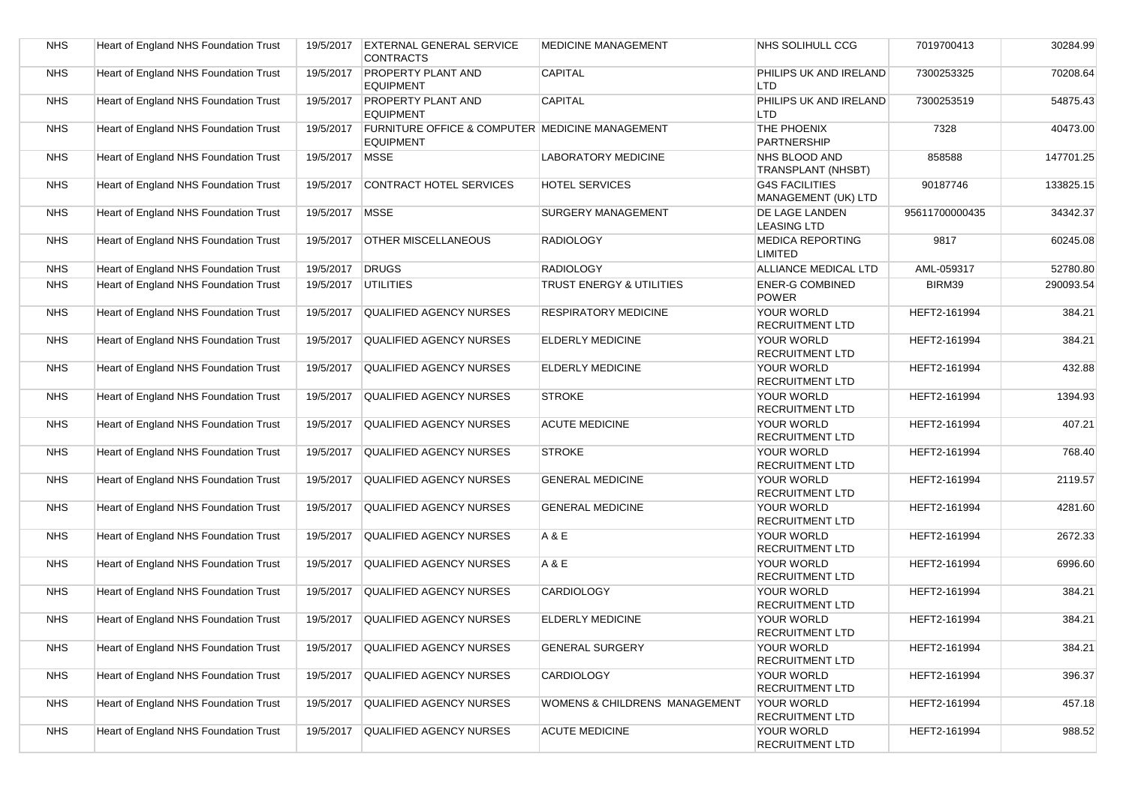| <b>NHS</b> | Heart of England NHS Foundation Trust | 19/5/2017 | <b>EXTERNAL GENERAL SERVICE</b><br><b>CONTRACTS</b>                 | <b>MEDICINE MANAGEMENT</b>          | NHS SOLIHULL CCG                             | 7019700413     | 30284.99  |
|------------|---------------------------------------|-----------|---------------------------------------------------------------------|-------------------------------------|----------------------------------------------|----------------|-----------|
| <b>NHS</b> | Heart of England NHS Foundation Trust | 19/5/2017 | <b>PROPERTY PLANT AND</b><br><b>EQUIPMENT</b>                       | <b>CAPITAL</b>                      | PHILIPS UK AND IRELAND<br><b>LTD</b>         | 7300253325     | 70208.64  |
| <b>NHS</b> | Heart of England NHS Foundation Trust | 19/5/2017 | <b>PROPERTY PLANT AND</b><br><b>EQUIPMENT</b>                       | <b>CAPITAL</b>                      | PHILIPS UK AND IRELAND<br><b>LTD</b>         | 7300253519     | 54875.43  |
| <b>NHS</b> | Heart of England NHS Foundation Trust | 19/5/2017 | FURNITURE OFFICE & COMPUTER MEDICINE MANAGEMENT<br><b>EQUIPMENT</b> |                                     | THE PHOENIX<br><b>PARTNERSHIP</b>            | 7328           | 40473.00  |
| <b>NHS</b> | Heart of England NHS Foundation Trust | 19/5/2017 | <b>MSSE</b>                                                         | <b>LABORATORY MEDICINE</b>          | NHS BLOOD AND<br><b>TRANSPLANT (NHSBT)</b>   | 858588         | 147701.25 |
| <b>NHS</b> | Heart of England NHS Foundation Trust | 19/5/2017 | <b>CONTRACT HOTEL SERVICES</b>                                      | <b>HOTEL SERVICES</b>               | <b>G4S FACILITIES</b><br>MANAGEMENT (UK) LTD | 90187746       | 133825.15 |
| <b>NHS</b> | Heart of England NHS Foundation Trust | 19/5/2017 | <b>MSSE</b>                                                         | <b>SURGERY MANAGEMENT</b>           | DE LAGE LANDEN<br><b>LEASING LTD</b>         | 95611700000435 | 34342.37  |
| <b>NHS</b> | Heart of England NHS Foundation Trust | 19/5/2017 | <b>OTHER MISCELLANEOUS</b>                                          | <b>RADIOLOGY</b>                    | <b>MEDICA REPORTING</b><br><b>LIMITED</b>    | 9817           | 60245.08  |
| <b>NHS</b> | Heart of England NHS Foundation Trust | 19/5/2017 | <b>DRUGS</b>                                                        | <b>RADIOLOGY</b>                    | ALLIANCE MEDICAL LTD                         | AML-059317     | 52780.80  |
| <b>NHS</b> | Heart of England NHS Foundation Trust | 19/5/2017 | <b>UTILITIES</b>                                                    | <b>TRUST ENERGY &amp; UTILITIES</b> | <b>ENER-G COMBINED</b><br><b>POWER</b>       | BIRM39         | 290093.54 |
| <b>NHS</b> | Heart of England NHS Foundation Trust | 19/5/2017 | <b>QUALIFIED AGENCY NURSES</b>                                      | <b>RESPIRATORY MEDICINE</b>         | YOUR WORLD<br><b>RECRUITMENT LTD</b>         | HEFT2-161994   | 384.21    |
| <b>NHS</b> | Heart of England NHS Foundation Trust | 19/5/2017 | <b>QUALIFIED AGENCY NURSES</b>                                      | <b>ELDERLY MEDICINE</b>             | YOUR WORLD<br><b>RECRUITMENT LTD</b>         | HEFT2-161994   | 384.21    |
| <b>NHS</b> | Heart of England NHS Foundation Trust | 19/5/2017 | <b>QUALIFIED AGENCY NURSES</b>                                      | ELDERLY MEDICINE                    | YOUR WORLD<br><b>RECRUITMENT LTD</b>         | HEFT2-161994   | 432.88    |
| <b>NHS</b> | Heart of England NHS Foundation Trust | 19/5/2017 | <b>QUALIFIED AGENCY NURSES</b>                                      | <b>STROKE</b>                       | YOUR WORLD<br><b>RECRUITMENT LTD</b>         | HEFT2-161994   | 1394.93   |
| <b>NHS</b> | Heart of England NHS Foundation Trust | 19/5/2017 | <b>QUALIFIED AGENCY NURSES</b>                                      | <b>ACUTE MEDICINE</b>               | YOUR WORLD<br><b>RECRUITMENT LTD</b>         | HEFT2-161994   | 407.21    |
| <b>NHS</b> | Heart of England NHS Foundation Trust | 19/5/2017 | <b>QUALIFIED AGENCY NURSES</b>                                      | <b>STROKE</b>                       | YOUR WORLD<br><b>RECRUITMENT LTD</b>         | HEFT2-161994   | 768.40    |
| <b>NHS</b> | Heart of England NHS Foundation Trust | 19/5/2017 | QUALIFIED AGENCY NURSES                                             | <b>GENERAL MEDICINE</b>             | YOUR WORLD<br><b>RECRUITMENT LTD</b>         | HEFT2-161994   | 2119.57   |
| <b>NHS</b> | Heart of England NHS Foundation Trust | 19/5/2017 | <b>QUALIFIED AGENCY NURSES</b>                                      | <b>GENERAL MEDICINE</b>             | YOUR WORLD<br><b>RECRUITMENT LTD</b>         | HEFT2-161994   | 4281.60   |
| <b>NHS</b> | Heart of England NHS Foundation Trust | 19/5/2017 | QUALIFIED AGENCY NURSES                                             | A & E                               | YOUR WORLD<br><b>RECRUITMENT LTD</b>         | HEFT2-161994   | 2672.33   |
| <b>NHS</b> | Heart of England NHS Foundation Trust | 19/5/2017 | <b>QUALIFIED AGENCY NURSES</b>                                      | A & E                               | YOUR WORLD<br><b>RECRUITMENT LTD</b>         | HEFT2-161994   | 6996.60   |
| <b>NHS</b> | Heart of England NHS Foundation Trust | 19/5/2017 | <b>QUALIFIED AGENCY NURSES</b>                                      | <b>CARDIOLOGY</b>                   | YOUR WORLD<br><b>RECRUITMENT LTD</b>         | HEFT2-161994   | 384.21    |
| <b>NHS</b> | Heart of England NHS Foundation Trust | 19/5/2017 | <b>QUALIFIED AGENCY NURSES</b>                                      | ELDERLY MEDICINE                    | YOUR WORLD<br><b>RECRUITMENT LTD</b>         | HEFT2-161994   | 384.21    |
| <b>NHS</b> | Heart of England NHS Foundation Trust | 19/5/2017 | <b>QUALIFIED AGENCY NURSES</b>                                      | <b>GENERAL SURGERY</b>              | YOUR WORLD<br><b>RECRUITMENT LTD</b>         | HEFT2-161994   | 384.21    |
| <b>NHS</b> | Heart of England NHS Foundation Trust | 19/5/2017 | <b>QUALIFIED AGENCY NURSES</b>                                      | <b>CARDIOLOGY</b>                   | YOUR WORLD<br><b>RECRUITMENT LTD</b>         | HEFT2-161994   | 396.37    |
| <b>NHS</b> | Heart of England NHS Foundation Trust | 19/5/2017 | <b>QUALIFIED AGENCY NURSES</b>                                      | WOMENS & CHILDRENS MANAGEMENT       | YOUR WORLD<br><b>RECRUITMENT LTD</b>         | HEFT2-161994   | 457.18    |
| <b>NHS</b> | Heart of England NHS Foundation Trust | 19/5/2017 | QUALIFIED AGENCY NURSES                                             | <b>ACUTE MEDICINE</b>               | YOUR WORLD<br>RECRUITMENT LTD                | HEFT2-161994   | 988.52    |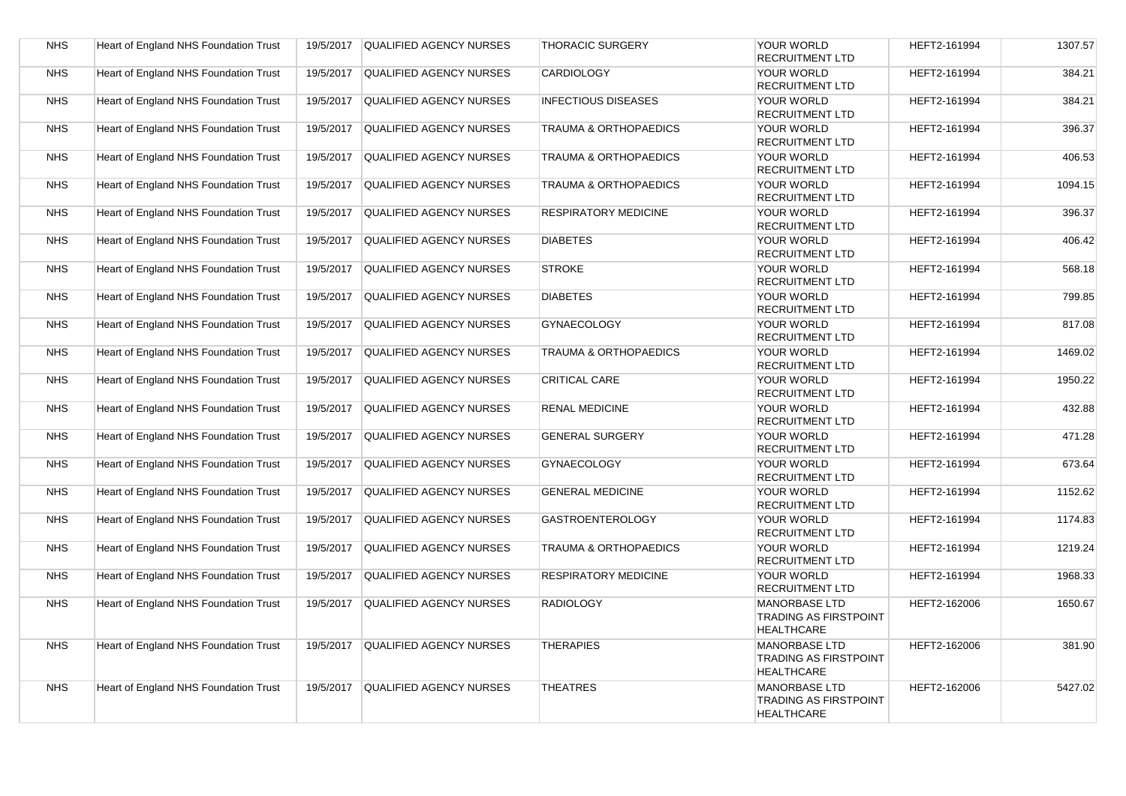| <b>NHS</b> | Heart of England NHS Foundation Trust |           | 19/5/2017 QUALIFIED AGENCY NURSES | <b>THORACIC SURGERY</b>          | YOUR WORLD<br><b>RECRUITMENT LTD</b>                                      | HEFT2-161994 | 1307.57 |
|------------|---------------------------------------|-----------|-----------------------------------|----------------------------------|---------------------------------------------------------------------------|--------------|---------|
| <b>NHS</b> | Heart of England NHS Foundation Trust | 19/5/2017 | QUALIFIED AGENCY NURSES           | CARDIOLOGY                       | YOUR WORLD<br><b>RECRUITMENT LTD</b>                                      | HEFT2-161994 | 384.21  |
| <b>NHS</b> | Heart of England NHS Foundation Trust | 19/5/2017 | <b>QUALIFIED AGENCY NURSES</b>    | <b>INFECTIOUS DISEASES</b>       | YOUR WORLD<br><b>RECRUITMENT LTD</b>                                      | HEFT2-161994 | 384.21  |
| <b>NHS</b> | Heart of England NHS Foundation Trust | 19/5/2017 | QUALIFIED AGENCY NURSES           | TRAUMA & ORTHOPAEDICS            | YOUR WORLD<br><b>RECRUITMENT LTD</b>                                      | HEFT2-161994 | 396.37  |
| <b>NHS</b> | Heart of England NHS Foundation Trust | 19/5/2017 | <b>QUALIFIED AGENCY NURSES</b>    | TRAUMA & ORTHOPAEDICS            | YOUR WORLD<br><b>RECRUITMENT LTD</b>                                      | HEFT2-161994 | 406.53  |
| <b>NHS</b> | Heart of England NHS Foundation Trust | 19/5/2017 | QUALIFIED AGENCY NURSES           | TRAUMA & ORTHOPAEDICS            | YOUR WORLD<br><b>RECRUITMENT LTD</b>                                      | HEFT2-161994 | 1094.15 |
| <b>NHS</b> | Heart of England NHS Foundation Trust | 19/5/2017 | QUALIFIED AGENCY NURSES           | <b>RESPIRATORY MEDICINE</b>      | <b>YOUR WORLD</b><br><b>RECRUITMENT LTD</b>                               | HEFT2-161994 | 396.37  |
| <b>NHS</b> | Heart of England NHS Foundation Trust | 19/5/2017 | QUALIFIED AGENCY NURSES           | <b>DIABETES</b>                  | <b>YOUR WORLD</b><br><b>RECRUITMENT LTD</b>                               | HEFT2-161994 | 406.42  |
| <b>NHS</b> | Heart of England NHS Foundation Trust | 19/5/2017 | QUALIFIED AGENCY NURSES           | <b>STROKE</b>                    | <b>YOUR WORLD</b><br><b>RECRUITMENT LTD</b>                               | HEFT2-161994 | 568.18  |
| <b>NHS</b> | Heart of England NHS Foundation Trust | 19/5/2017 | QUALIFIED AGENCY NURSES           | <b>DIABETES</b>                  | <b>YOUR WORLD</b><br><b>RECRUITMENT LTD</b>                               | HEFT2-161994 | 799.85  |
| <b>NHS</b> | Heart of England NHS Foundation Trust | 19/5/2017 | QUALIFIED AGENCY NURSES           | <b>GYNAECOLOGY</b>               | <b>YOUR WORLD</b><br><b>RECRUITMENT LTD</b>                               | HEFT2-161994 | 817.08  |
| <b>NHS</b> | Heart of England NHS Foundation Trust | 19/5/2017 | QUALIFIED AGENCY NURSES           | <b>TRAUMA &amp; ORTHOPAEDICS</b> | <b>YOUR WORLD</b><br><b>RECRUITMENT LTD</b>                               | HEFT2-161994 | 1469.02 |
| <b>NHS</b> | Heart of England NHS Foundation Trust | 19/5/2017 | QUALIFIED AGENCY NURSES           | <b>CRITICAL CARE</b>             | YOUR WORLD<br><b>RECRUITMENT LTD</b>                                      | HEFT2-161994 | 1950.22 |
| <b>NHS</b> | Heart of England NHS Foundation Trust | 19/5/2017 | QUALIFIED AGENCY NURSES           | <b>RENAL MEDICINE</b>            | YOUR WORLD<br><b>RECRUITMENT LTD</b>                                      | HEFT2-161994 | 432.88  |
| <b>NHS</b> | Heart of England NHS Foundation Trust | 19/5/2017 | <b>QUALIFIED AGENCY NURSES</b>    | <b>GENERAL SURGERY</b>           | <b>YOUR WORLD</b><br>RECRUITMENT LTD                                      | HEFT2-161994 | 471.28  |
| <b>NHS</b> | Heart of England NHS Foundation Trust | 19/5/2017 | QUALIFIED AGENCY NURSES           | <b>GYNAECOLOGY</b>               | YOUR WORLD<br><b>RECRUITMENT LTD</b>                                      | HEFT2-161994 | 673.64  |
| <b>NHS</b> | Heart of England NHS Foundation Trust | 19/5/2017 | QUALIFIED AGENCY NURSES           | <b>GENERAL MEDICINE</b>          | <b>YOUR WORLD</b><br><b>RECRUITMENT LTD</b>                               | HEFT2-161994 | 1152.62 |
| <b>NHS</b> | Heart of England NHS Foundation Trust | 19/5/2017 | QUALIFIED AGENCY NURSES           | <b>GASTROENTEROLOGY</b>          | <b>YOUR WORLD</b><br><b>RECRUITMENT LTD</b>                               | HEFT2-161994 | 1174.83 |
| <b>NHS</b> | Heart of England NHS Foundation Trust | 19/5/2017 | QUALIFIED AGENCY NURSES           | <b>TRAUMA &amp; ORTHOPAEDICS</b> | YOUR WORLD<br><b>RECRUITMENT LTD</b>                                      | HEFT2-161994 | 1219.24 |
| <b>NHS</b> | Heart of England NHS Foundation Trust | 19/5/2017 | QUALIFIED AGENCY NURSES           | <b>RESPIRATORY MEDICINE</b>      | YOUR WORLD<br><b>RECRUITMENT LTD</b>                                      | HEFT2-161994 | 1968.33 |
| <b>NHS</b> | Heart of England NHS Foundation Trust | 19/5/2017 | QUALIFIED AGENCY NURSES           | <b>RADIOLOGY</b>                 | <b>MANORBASE LTD</b><br><b>TRADING AS FIRSTPOINT</b><br><b>HEALTHCARE</b> | HEFT2-162006 | 1650.67 |
| <b>NHS</b> | Heart of England NHS Foundation Trust | 19/5/2017 | <b>QUALIFIED AGENCY NURSES</b>    | <b>THERAPIES</b>                 | <b>MANORBASE LTD</b><br><b>TRADING AS FIRSTPOINT</b><br><b>HEALTHCARE</b> | HEFT2-162006 | 381.90  |
| <b>NHS</b> | Heart of England NHS Foundation Trust | 19/5/2017 | <b>QUALIFIED AGENCY NURSES</b>    | <b>THEATRES</b>                  | <b>MANORBASE LTD</b><br><b>TRADING AS FIRSTPOINT</b><br><b>HEALTHCARE</b> | HEFT2-162006 | 5427.02 |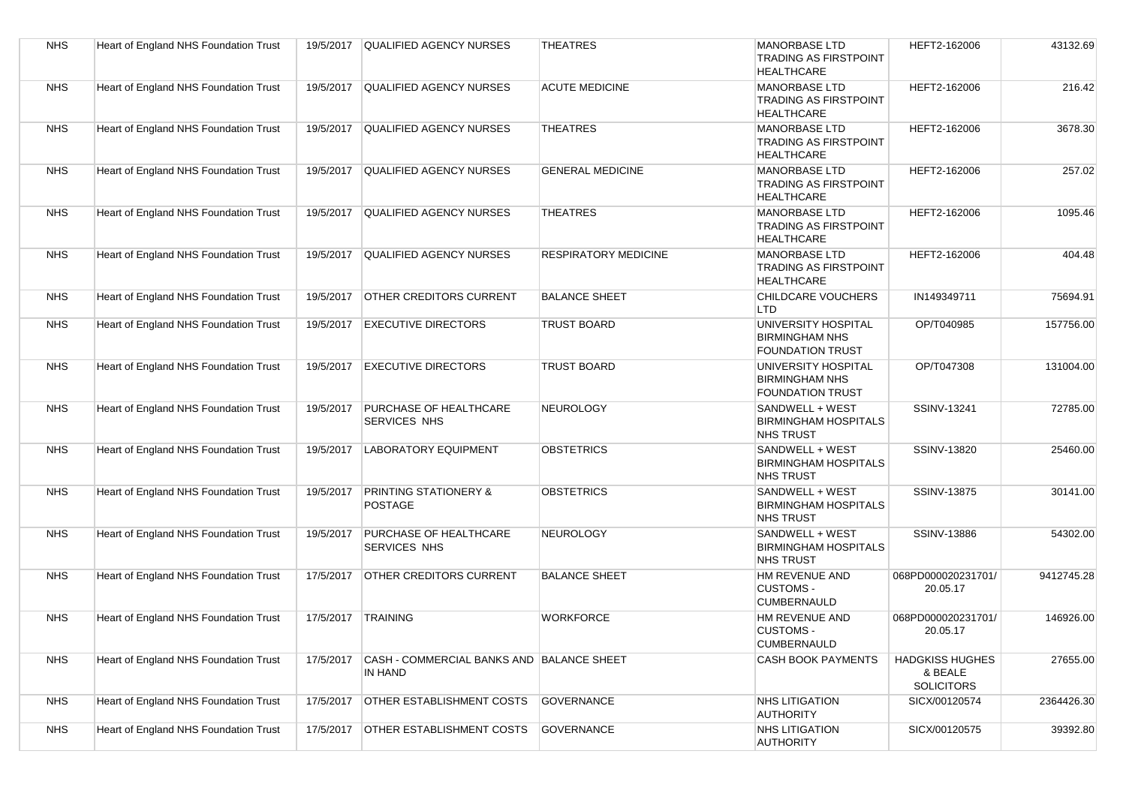| <b>NHS</b> | Heart of England NHS Foundation Trust        | 19/5/2017 | <b>QUALIFIED AGENCY NURSES</b>                       | <b>THEATRES</b>             | <b>MANORBASE LTD</b><br><b>TRADING AS FIRSTPOINT</b><br><b>HEALTHCARE</b> | HEFT2-162006                                           | 43132.69   |
|------------|----------------------------------------------|-----------|------------------------------------------------------|-----------------------------|---------------------------------------------------------------------------|--------------------------------------------------------|------------|
| <b>NHS</b> | <b>Heart of England NHS Foundation Trust</b> | 19/5/2017 | <b>QUALIFIED AGENCY NURSES</b>                       | <b>ACUTE MEDICINE</b>       | <b>MANORBASE LTD</b><br><b>TRADING AS FIRSTPOINT</b><br><b>HEALTHCARE</b> | HEFT2-162006                                           | 216.42     |
| <b>NHS</b> | Heart of England NHS Foundation Trust        | 19/5/2017 | QUALIFIED AGENCY NURSES                              | <b>THEATRES</b>             | <b>MANORBASE LTD</b><br><b>TRADING AS FIRSTPOINT</b><br><b>HEALTHCARE</b> | HEFT2-162006                                           | 3678.30    |
| <b>NHS</b> | <b>Heart of England NHS Foundation Trust</b> | 19/5/2017 | QUALIFIED AGENCY NURSES                              | <b>GENERAL MEDICINE</b>     | <b>MANORBASE LTD</b><br><b>TRADING AS FIRSTPOINT</b><br><b>HEALTHCARE</b> | HEFT2-162006                                           | 257.02     |
| <b>NHS</b> | <b>Heart of England NHS Foundation Trust</b> | 19/5/2017 | QUALIFIED AGENCY NURSES                              | <b>THEATRES</b>             | <b>MANORBASE LTD</b><br><b>TRADING AS FIRSTPOINT</b><br><b>HEALTHCARE</b> | HEFT2-162006                                           | 1095.46    |
| <b>NHS</b> | Heart of England NHS Foundation Trust        | 19/5/2017 | <b>QUALIFIED AGENCY NURSES</b>                       | <b>RESPIRATORY MEDICINE</b> | <b>MANORBASE LTD</b><br><b>TRADING AS FIRSTPOINT</b><br><b>HEALTHCARE</b> | HEFT2-162006                                           | 404.48     |
| <b>NHS</b> | Heart of England NHS Foundation Trust        | 19/5/2017 | <b>OTHER CREDITORS CURRENT</b>                       | <b>BALANCE SHEET</b>        | CHILDCARE VOUCHERS<br><b>LTD</b>                                          | IN149349711                                            | 75694.91   |
| <b>NHS</b> | Heart of England NHS Foundation Trust        |           | 19/5/2017 EXECUTIVE DIRECTORS                        | <b>TRUST BOARD</b>          | UNIVERSITY HOSPITAL<br><b>BIRMINGHAM NHS</b><br><b>FOUNDATION TRUST</b>   | OP/T040985                                             | 157756.00  |
| <b>NHS</b> | Heart of England NHS Foundation Trust        |           | 19/5/2017 EXECUTIVE DIRECTORS                        | <b>TRUST BOARD</b>          | UNIVERSITY HOSPITAL<br><b>BIRMINGHAM NHS</b><br><b>FOUNDATION TRUST</b>   | OP/T047308                                             | 131004.00  |
| <b>NHS</b> | Heart of England NHS Foundation Trust        | 19/5/2017 | <b>PURCHASE OF HEALTHCARE</b><br><b>SERVICES NHS</b> | NEUROLOGY                   | SANDWELL + WEST<br><b>BIRMINGHAM HOSPITALS</b><br><b>NHS TRUST</b>        | SSINV-13241                                            | 72785.00   |
| <b>NHS</b> | Heart of England NHS Foundation Trust        | 19/5/2017 | <b>LABORATORY EQUIPMENT</b>                          | <b>OBSTETRICS</b>           | SANDWELL + WEST<br><b>BIRMINGHAM HOSPITALS</b><br><b>NHS TRUST</b>        | SSINV-13820                                            | 25460.00   |
| <b>NHS</b> | Heart of England NHS Foundation Trust        | 19/5/2017 | <b>PRINTING STATIONERY &amp;</b><br><b>POSTAGE</b>   | <b>OBSTETRICS</b>           | SANDWELL + WEST<br><b>BIRMINGHAM HOSPITALS</b><br><b>NHS TRUST</b>        | SSINV-13875                                            | 30141.00   |
| <b>NHS</b> | Heart of England NHS Foundation Trust        | 19/5/2017 | <b>PURCHASE OF HEALTHCARE</b><br><b>SERVICES NHS</b> | NEUROLOGY                   | SANDWELL + WEST<br><b>BIRMINGHAM HOSPITALS</b><br><b>NHS TRUST</b>        | SSINV-13886                                            | 54302.00   |
| <b>NHS</b> | Heart of England NHS Foundation Trust        | 17/5/2017 | <b>OTHER CREDITORS CURRENT</b>                       | <b>BALANCE SHEET</b>        | HM REVENUE AND<br><b>CUSTOMS -</b><br><b>CUMBERNAULD</b>                  | 068PD000020231701/<br>20.05.17                         | 9412745.28 |
| <b>NHS</b> | Heart of England NHS Foundation Trust        |           | 17/5/2017 TRAINING                                   | <b>WORKFORCE</b>            | HM REVENUE AND<br><b>CUSTOMS -</b><br><b>CUMBERNAULD</b>                  | 068PD000020231701/<br>20.05.17                         | 146926.00  |
| <b>NHS</b> | <b>Heart of England NHS Foundation Trust</b> | 17/5/2017 | CASH - COMMERCIAL BANKS AND BALANCE SHEET<br>IN HAND |                             | <b>CASH BOOK PAYMENTS</b>                                                 | <b>HADGKISS HUGHES</b><br>& BEALE<br><b>SOLICITORS</b> | 27655.00   |
| <b>NHS</b> | Heart of England NHS Foundation Trust        | 17/5/2017 | <b>OTHER ESTABLISHMENT COSTS</b>                     | <b>GOVERNANCE</b>           | <b>NHS LITIGATION</b><br><b>AUTHORITY</b>                                 | SICX/00120574                                          | 2364426.30 |
| <b>NHS</b> | Heart of England NHS Foundation Trust        | 17/5/2017 | <b>OTHER ESTABLISHMENT COSTS</b>                     | GOVERNANCE                  | <b>NHS LITIGATION</b><br><b>AUTHORITY</b>                                 | SICX/00120575                                          | 39392.80   |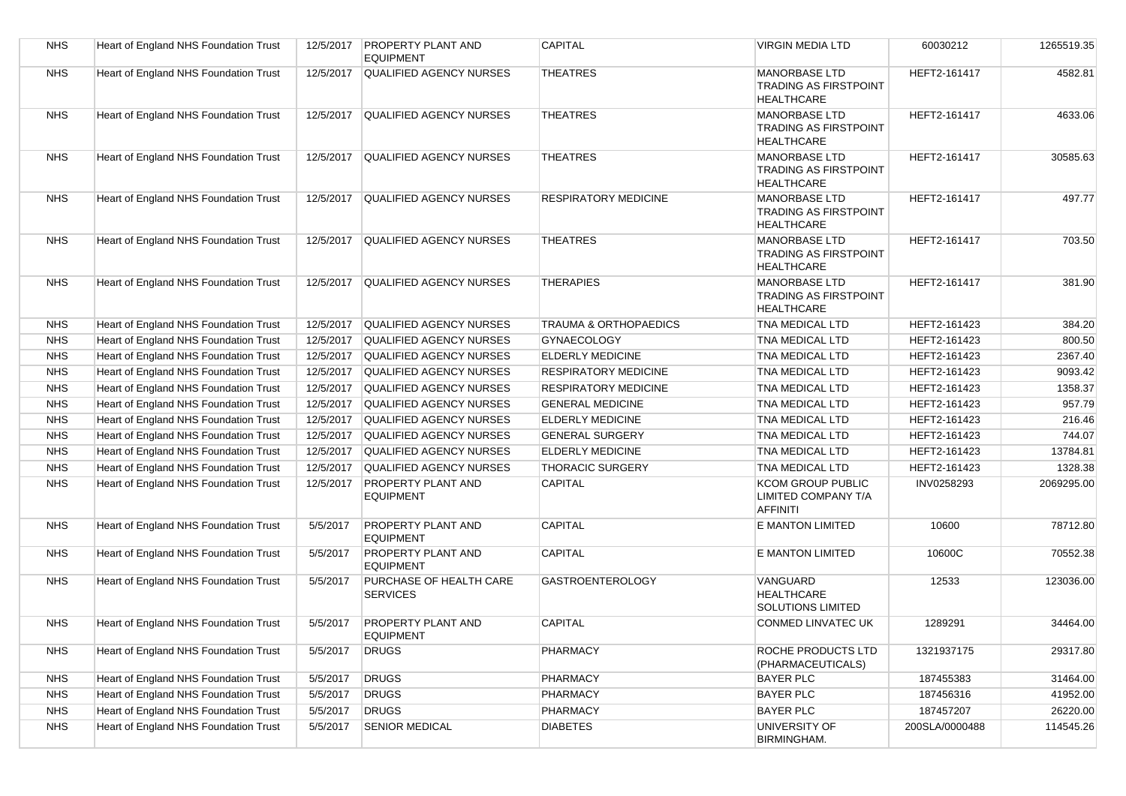| <b>NHS</b> | Heart of England NHS Foundation Trust | 12/5/2017 | <b>PROPERTY PLANT AND</b><br><b>EQUIPMENT</b> | <b>CAPITAL</b>                   | <b>VIRGIN MEDIA LTD</b>                                                   | 60030212       | 1265519.35 |
|------------|---------------------------------------|-----------|-----------------------------------------------|----------------------------------|---------------------------------------------------------------------------|----------------|------------|
| <b>NHS</b> | Heart of England NHS Foundation Trust | 12/5/2017 | <b>QUALIFIED AGENCY NURSES</b>                | <b>THEATRES</b>                  | <b>MANORBASE LTD</b><br><b>TRADING AS FIRSTPOINT</b><br><b>HEALTHCARE</b> | HEFT2-161417   | 4582.81    |
| <b>NHS</b> | Heart of England NHS Foundation Trust | 12/5/2017 | <b>QUALIFIED AGENCY NURSES</b>                | <b>THEATRES</b>                  | <b>MANORBASE LTD</b><br><b>TRADING AS FIRSTPOINT</b><br><b>HEALTHCARE</b> | HEFT2-161417   | 4633.06    |
| <b>NHS</b> | Heart of England NHS Foundation Trust | 12/5/2017 | <b>QUALIFIED AGENCY NURSES</b>                | <b>THEATRES</b>                  | <b>MANORBASE LTD</b><br><b>TRADING AS FIRSTPOINT</b><br><b>HEALTHCARE</b> | HEFT2-161417   | 30585.63   |
| <b>NHS</b> | Heart of England NHS Foundation Trust | 12/5/2017 | QUALIFIED AGENCY NURSES                       | <b>RESPIRATORY MEDICINE</b>      | <b>MANORBASE LTD</b><br><b>TRADING AS FIRSTPOINT</b><br><b>HEALTHCARE</b> | HEFT2-161417   | 497.77     |
| <b>NHS</b> | Heart of England NHS Foundation Trust | 12/5/2017 | <b>QUALIFIED AGENCY NURSES</b>                | <b>THEATRES</b>                  | <b>MANORBASE LTD</b><br><b>TRADING AS FIRSTPOINT</b><br><b>HEALTHCARE</b> | HEFT2-161417   | 703.50     |
| <b>NHS</b> | Heart of England NHS Foundation Trust | 12/5/2017 | <b>QUALIFIED AGENCY NURSES</b>                | <b>THERAPIES</b>                 | <b>MANORBASE LTD</b><br>TRADING AS FIRSTPOINT<br><b>HEALTHCARE</b>        | HEFT2-161417   | 381.90     |
| <b>NHS</b> | Heart of England NHS Foundation Trust | 12/5/2017 | <b>QUALIFIED AGENCY NURSES</b>                | <b>TRAUMA &amp; ORTHOPAEDICS</b> | TNA MEDICAL LTD                                                           | HEFT2-161423   | 384.20     |
| <b>NHS</b> | Heart of England NHS Foundation Trust | 12/5/2017 | <b>QUALIFIED AGENCY NURSES</b>                | <b>GYNAECOLOGY</b>               | <b>TNA MEDICAL LTD</b>                                                    | HEFT2-161423   | 800.50     |
| <b>NHS</b> | Heart of England NHS Foundation Trust | 12/5/2017 | QUALIFIED AGENCY NURSES                       | ELDERLY MEDICINE                 | TNA MEDICAL LTD                                                           | HEFT2-161423   | 2367.40    |
| <b>NHS</b> | Heart of England NHS Foundation Trust | 12/5/2017 | <b>QUALIFIED AGENCY NURSES</b>                | <b>RESPIRATORY MEDICINE</b>      | TNA MEDICAL LTD                                                           | HEFT2-161423   | 9093.42    |
| <b>NHS</b> | Heart of England NHS Foundation Trust | 12/5/2017 | <b>QUALIFIED AGENCY NURSES</b>                | <b>RESPIRATORY MEDICINE</b>      | TNA MEDICAL LTD                                                           | HEFT2-161423   | 1358.37    |
| <b>NHS</b> | Heart of England NHS Foundation Trust | 12/5/2017 | QUALIFIED AGENCY NURSES                       | <b>GENERAL MEDICINE</b>          | TNA MEDICAL LTD                                                           | HEFT2-161423   | 957.79     |
| <b>NHS</b> | Heart of England NHS Foundation Trust | 12/5/2017 | QUALIFIED AGENCY NURSES                       | ELDERLY MEDICINE                 | TNA MEDICAL LTD                                                           | HEFT2-161423   | 216.46     |
| <b>NHS</b> | Heart of England NHS Foundation Trust | 12/5/2017 | QUALIFIED AGENCY NURSES                       | <b>GENERAL SURGERY</b>           | TNA MEDICAL LTD                                                           | HEFT2-161423   | 744.07     |
| <b>NHS</b> | Heart of England NHS Foundation Trust | 12/5/2017 | <b>QUALIFIED AGENCY NURSES</b>                | ELDERLY MEDICINE                 | TNA MEDICAL LTD                                                           | HEFT2-161423   | 13784.81   |
| <b>NHS</b> | Heart of England NHS Foundation Trust | 12/5/2017 | <b>QUALIFIED AGENCY NURSES</b>                | <b>THORACIC SURGERY</b>          | TNA MEDICAL LTD                                                           | HEFT2-161423   | 1328.38    |
| <b>NHS</b> | Heart of England NHS Foundation Trust | 12/5/2017 | <b>PROPERTY PLANT AND</b><br><b>EQUIPMENT</b> | CAPITAL                          | <b>KCOM GROUP PUBLIC</b><br><b>LIMITED COMPANY T/A</b><br><b>AFFINITI</b> | INV0258293     | 2069295.00 |
| <b>NHS</b> | Heart of England NHS Foundation Trust | 5/5/2017  | <b>PROPERTY PLANT AND</b><br><b>EQUIPMENT</b> | <b>CAPITAL</b>                   | <b>E MANTON LIMITED</b>                                                   | 10600          | 78712.80   |
| <b>NHS</b> | Heart of England NHS Foundation Trust | 5/5/2017  | <b>PROPERTY PLANT AND</b><br><b>EQUIPMENT</b> | <b>CAPITAL</b>                   | <b>E MANTON LIMITED</b>                                                   | 10600C         | 70552.38   |
| <b>NHS</b> | Heart of England NHS Foundation Trust | 5/5/2017  | PURCHASE OF HEALTH CARE<br><b>SERVICES</b>    | <b>GASTROENTEROLOGY</b>          | VANGUARD<br><b>HEALTHCARE</b><br><b>SOLUTIONS LIMITED</b>                 | 12533          | 123036.00  |
| <b>NHS</b> | Heart of England NHS Foundation Trust | 5/5/2017  | <b>PROPERTY PLANT AND</b><br><b>EQUIPMENT</b> | CAPITAL                          | <b>CONMED LINVATEC UK</b>                                                 | 1289291        | 34464.00   |
| <b>NHS</b> | Heart of England NHS Foundation Trust | 5/5/2017  | <b>DRUGS</b>                                  | PHARMACY                         | ROCHE PRODUCTS LTD<br>(PHARMACEUTICALS)                                   | 1321937175     | 29317.80   |
| <b>NHS</b> | Heart of England NHS Foundation Trust | 5/5/2017  | <b>DRUGS</b>                                  | <b>PHARMACY</b>                  | <b>BAYER PLC</b>                                                          | 187455383      | 31464.00   |
| <b>NHS</b> | Heart of England NHS Foundation Trust | 5/5/2017  | <b>DRUGS</b>                                  | <b>PHARMACY</b>                  | <b>BAYER PLC</b>                                                          | 187456316      | 41952.00   |
| <b>NHS</b> | Heart of England NHS Foundation Trust | 5/5/2017  | <b>DRUGS</b>                                  | PHARMACY                         | <b>BAYER PLC</b>                                                          | 187457207      | 26220.00   |
| <b>NHS</b> | Heart of England NHS Foundation Trust | 5/5/2017  | <b>SENIOR MEDICAL</b>                         | <b>DIABETES</b>                  | UNIVERSITY OF<br><b>BIRMINGHAM.</b>                                       | 200SLA/0000488 | 114545.26  |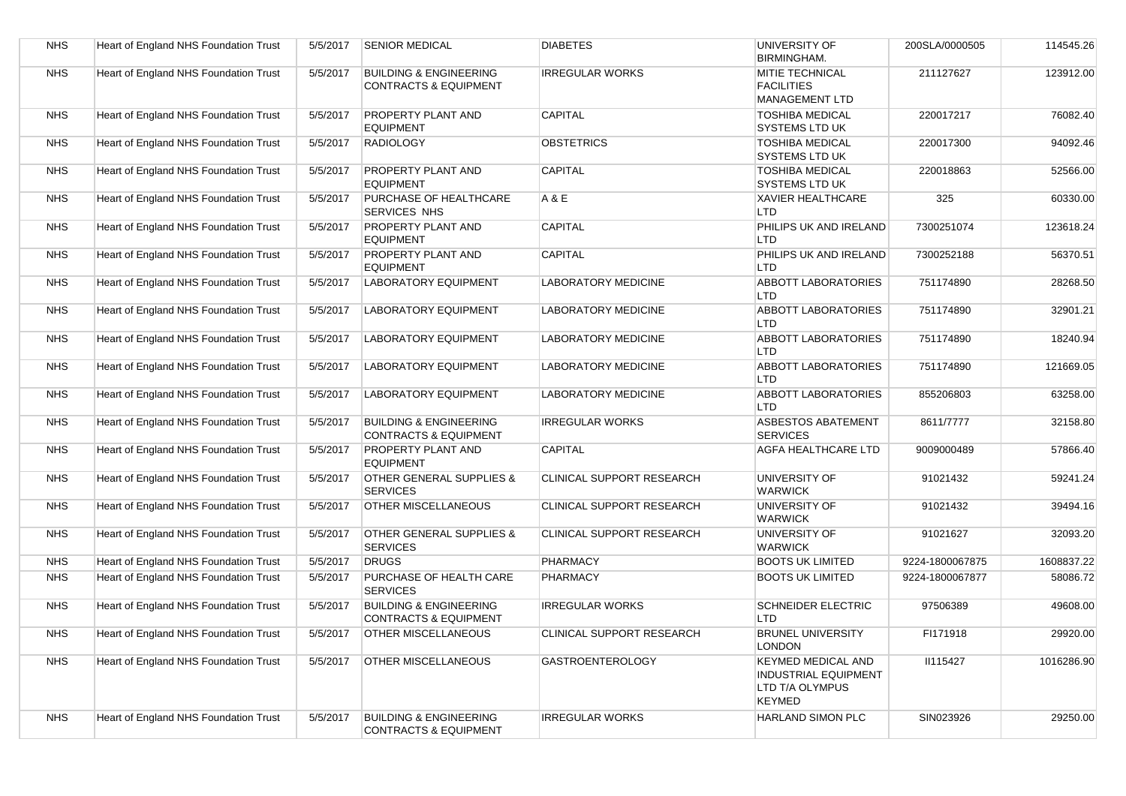| <b>NHS</b> | Heart of England NHS Foundation Trust | 5/5/2017 | <b>SENIOR MEDICAL</b>                                                 | <b>DIABETES</b>                  | UNIVERSITY OF<br><b>BIRMINGHAM.</b>                                                          | 200SLA/0000505  | 114545.26  |
|------------|---------------------------------------|----------|-----------------------------------------------------------------------|----------------------------------|----------------------------------------------------------------------------------------------|-----------------|------------|
| <b>NHS</b> | Heart of England NHS Foundation Trust | 5/5/2017 | <b>BUILDING &amp; ENGINEERING</b><br><b>CONTRACTS &amp; EQUIPMENT</b> | <b>IRREGULAR WORKS</b>           | MITIE TECHNICAL<br><b>FACILITIES</b><br><b>MANAGEMENT LTD</b>                                | 211127627       | 123912.00  |
| <b>NHS</b> | Heart of England NHS Foundation Trust | 5/5/2017 | <b>PROPERTY PLANT AND</b><br><b>EQUIPMENT</b>                         | <b>CAPITAL</b>                   | <b>TOSHIBA MEDICAL</b><br>SYSTEMS LTD UK                                                     | 220017217       | 76082.40   |
| <b>NHS</b> | Heart of England NHS Foundation Trust | 5/5/2017 | <b>RADIOLOGY</b>                                                      | <b>OBSTETRICS</b>                | <b>TOSHIBA MEDICAL</b><br>SYSTEMS LTD UK                                                     | 220017300       | 94092.46   |
| <b>NHS</b> | Heart of England NHS Foundation Trust | 5/5/2017 | PROPERTY PLANT AND<br><b>EQUIPMENT</b>                                | <b>CAPITAL</b>                   | <b>TOSHIBA MEDICAL</b><br>SYSTEMS LTD UK                                                     | 220018863       | 52566.00   |
| <b>NHS</b> | Heart of England NHS Foundation Trust | 5/5/2017 | PURCHASE OF HEALTHCARE<br><b>SERVICES NHS</b>                         | A & E                            | <b>XAVIER HEALTHCARE</b><br>LTD                                                              | 325             | 60330.00   |
| <b>NHS</b> | Heart of England NHS Foundation Trust | 5/5/2017 | PROPERTY PLANT AND<br><b>EQUIPMENT</b>                                | <b>CAPITAL</b>                   | PHILIPS UK AND IRELAND<br><b>LTD</b>                                                         | 7300251074      | 123618.24  |
| <b>NHS</b> | Heart of England NHS Foundation Trust | 5/5/2017 | PROPERTY PLANT AND<br><b>EQUIPMENT</b>                                | CAPITAL                          | PHILIPS UK AND IRELAND<br><b>LTD</b>                                                         | 7300252188      | 56370.51   |
| <b>NHS</b> | Heart of England NHS Foundation Trust | 5/5/2017 | <b>LABORATORY EQUIPMENT</b>                                           | <b>LABORATORY MEDICINE</b>       | <b>ABBOTT LABORATORIES</b><br><b>LTD</b>                                                     | 751174890       | 28268.50   |
| <b>NHS</b> | Heart of England NHS Foundation Trust | 5/5/2017 | <b>LABORATORY EQUIPMENT</b>                                           | <b>LABORATORY MEDICINE</b>       | <b>ABBOTT LABORATORIES</b><br>LTD                                                            | 751174890       | 32901.21   |
| <b>NHS</b> | Heart of England NHS Foundation Trust | 5/5/2017 | <b>LABORATORY EQUIPMENT</b>                                           | <b>LABORATORY MEDICINE</b>       | <b>ABBOTT LABORATORIES</b><br>LTD                                                            | 751174890       | 18240.94   |
| <b>NHS</b> | Heart of England NHS Foundation Trust | 5/5/2017 | <b>LABORATORY EQUIPMENT</b>                                           | <b>LABORATORY MEDICINE</b>       | <b>ABBOTT LABORATORIES</b><br>LTD                                                            | 751174890       | 121669.05  |
| <b>NHS</b> | Heart of England NHS Foundation Trust | 5/5/2017 | <b>LABORATORY EQUIPMENT</b>                                           | <b>LABORATORY MEDICINE</b>       | <b>ABBOTT LABORATORIES</b><br>LTD                                                            | 855206803       | 63258.00   |
| <b>NHS</b> | Heart of England NHS Foundation Trust | 5/5/2017 | <b>BUILDING &amp; ENGINEERING</b><br><b>CONTRACTS &amp; EQUIPMENT</b> | <b>IRREGULAR WORKS</b>           | <b>ASBESTOS ABATEMENT</b><br><b>SERVICES</b>                                                 | 8611/7777       | 32158.80   |
| <b>NHS</b> | Heart of England NHS Foundation Trust | 5/5/2017 | PROPERTY PLANT AND<br><b>EQUIPMENT</b>                                | CAPITAL                          | <b>AGFA HEALTHCARE LTD</b>                                                                   | 9009000489      | 57866.40   |
| <b>NHS</b> | Heart of England NHS Foundation Trust | 5/5/2017 | OTHER GENERAL SUPPLIES &<br><b>SERVICES</b>                           | CLINICAL SUPPORT RESEARCH        | UNIVERSITY OF<br><b>WARWICK</b>                                                              | 91021432        | 59241.24   |
| <b>NHS</b> | Heart of England NHS Foundation Trust | 5/5/2017 | <b>OTHER MISCELLANEOUS</b>                                            | CLINICAL SUPPORT RESEARCH        | UNIVERSITY OF<br><b>WARWICK</b>                                                              | 91021432        | 39494.16   |
| <b>NHS</b> | Heart of England NHS Foundation Trust | 5/5/2017 | OTHER GENERAL SUPPLIES &<br><b>SERVICES</b>                           | <b>CLINICAL SUPPORT RESEARCH</b> | UNIVERSITY OF<br><b>WARWICK</b>                                                              | 91021627        | 32093.20   |
| <b>NHS</b> | Heart of England NHS Foundation Trust | 5/5/2017 | <b>DRUGS</b>                                                          | <b>PHARMACY</b>                  | <b>BOOTS UK LIMITED</b>                                                                      | 9224-1800067875 | 1608837.22 |
| <b>NHS</b> | Heart of England NHS Foundation Trust | 5/5/2017 | PURCHASE OF HEALTH CARE<br><b>SERVICES</b>                            | PHARMACY                         | <b>BOOTS UK LIMITED</b>                                                                      | 9224-1800067877 | 58086.72   |
| <b>NHS</b> | Heart of England NHS Foundation Trust | 5/5/2017 | <b>BUILDING &amp; ENGINEERING</b><br><b>CONTRACTS &amp; EQUIPMENT</b> | <b>IRREGULAR WORKS</b>           | <b>SCHNEIDER ELECTRIC</b><br><b>LTD</b>                                                      | 97506389        | 49608.00   |
| <b>NHS</b> | Heart of England NHS Foundation Trust | 5/5/2017 | <b>OTHER MISCELLANEOUS</b>                                            | CLINICAL SUPPORT RESEARCH        | <b>BRUNEL UNIVERSITY</b><br><b>LONDON</b>                                                    | FI171918        | 29920.00   |
| <b>NHS</b> | Heart of England NHS Foundation Trust | 5/5/2017 | <b>OTHER MISCELLANEOUS</b>                                            | <b>GASTROENTEROLOGY</b>          | <b>KEYMED MEDICAL AND</b><br><b>INDUSTRIAL EQUIPMENT</b><br>LTD T/A OLYMPUS<br><b>KEYMED</b> | <b>II115427</b> | 1016286.90 |
| <b>NHS</b> | Heart of England NHS Foundation Trust | 5/5/2017 | <b>BUILDING &amp; ENGINEERING</b><br><b>CONTRACTS &amp; EQUIPMENT</b> | <b>IRREGULAR WORKS</b>           | <b>HARLAND SIMON PLC</b>                                                                     | SIN023926       | 29250.00   |